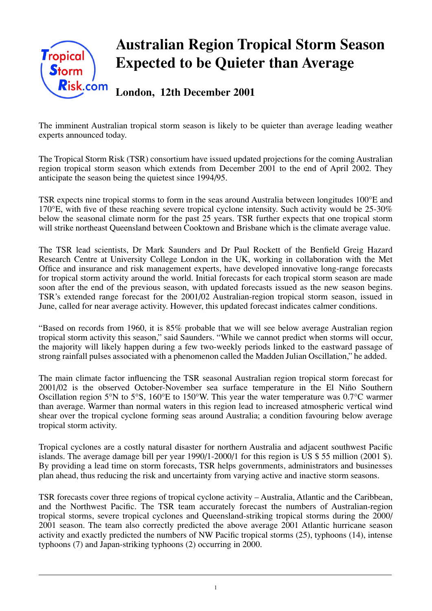

# **Australian Region Tropical Storm Season Expected to be Quieter than Average**

**London, 12th December 2001**

The imminent Australian tropical storm season is likely to be quieter than average leading weather experts announced today.

The Tropical Storm Risk (TSR) consortium have issued updated projections for the coming Australian region tropical storm season which extends from December 2001 to the end of April 2002. They anticipate the season being the quietest since 1994/95.

TSR expects nine tropical storms to form in the seas around Australia between longitudes 100°E and 170°E, with five of these reaching severe tropical cyclone intensity. Such activity would be 25-30% below the seasonal climate norm for the past 25 years. TSR further expects that one tropical storm will strike northeast Queensland between Cooktown and Brisbane which is the climate average value.

The TSR lead scientists, Dr Mark Saunders and Dr Paul Rockett of the Benfield Greig Hazard Research Centre at University College London in the UK, working in collaboration with the Met Office and insurance and risk management experts, have developed innovative long-range forecasts for tropical storm activity around the world. Initial forecasts for each tropical storm season are made soon after the end of the previous season, with updated forecasts issued as the new season begins. TSR's extended range forecast for the 2001/02 Australian-region tropical storm season, issued in June, called for near average activity. However, this updated forecast indicates calmer conditions.

"Based on records from 1960, it is 85% probable that we will see below average Australian region tropical storm activity this season," said Saunders. "While we cannot predict when storms will occur, the majority will likely happen during a few two-weekly periods linked to the eastward passage of strong rainfall pulses associated with a phenomenon called the Madden Julian Oscillation," he added.

The main climate factor influencing the TSR seasonal Australian region tropical storm forecast for 2001/02 is the observed October-November sea surface temperature in the El Niño Southern Oscillation region 5°N to 5°S, 160°E to 150°W. This year the water temperature was 0.7°C warmer than average. Warmer than normal waters in this region lead to increased atmospheric vertical wind shear over the tropical cyclone forming seas around Australia; a condition favouring below average tropical storm activity.

Tropical cyclones are a costly natural disaster for northern Australia and adjacent southwest Pacific islands. The average damage bill per year  $1990/1-2000/1$  for this region is US \$ 55 million (2001 \$). By providing a lead time on storm forecasts, TSR helps governments, administrators and businesses plan ahead, thus reducing the risk and uncertainty from varying active and inactive storm seasons.

TSR forecasts cover three regions of tropical cyclone activity – Australia, Atlantic and the Caribbean, and the Northwest Pacific. The TSR team accurately forecast the numbers of Australian-region tropical storms, severe tropical cyclones and Queensland-striking tropical storms during the 2000/ 2001 season. The team also correctly predicted the above average 2001 Atlantic hurricane season activity and exactly predicted the numbers of NW Pacific tropical storms (25), typhoons (14), intense typhoons (7) and Japan-striking typhoons (2) occurring in 2000.